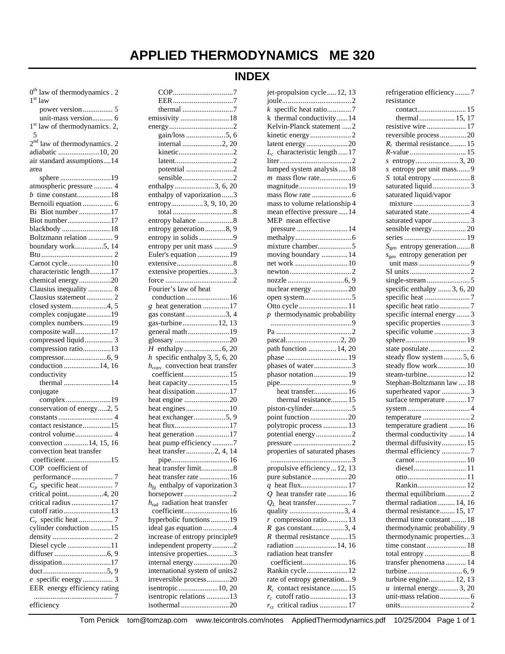# **APPLIED THERMODYNAMICS ME 320**

# **INDEX**

| $0th$ law of thermodynamics . 2           |
|-------------------------------------------|
| $1st$ law                                 |
| power version 5                           |
| unit-mass version 6                       |
| 1 <sup>st</sup> law of thermodynamics. 2, |
|                                           |
| $2nd$ law of thermodynamics. 2            |
| adiabatic 10, 20                          |
| air standard assumptions14                |
| area                                      |
| sphere 19                                 |
| atmospheric pressure  4                   |
| $b$ time constant18                       |
| Bernoili equation  6                      |
| Bi Biot number 17                         |
| Biot number17                             |
| blackbody18                               |
| Boltzmann relation  9                     |
| boundary work5, 14                        |
|                                           |
| Carnot cycle10                            |
| characteristic length17                   |
| chemical energy20                         |
| Clausius inequality  8                    |
| Clausius statement 2                      |
| closed system4, 5                         |
|                                           |
| complex conjugate19                       |
| complex numbers19                         |
| composite wall17                          |
| compressed liquid 3                       |
| compression ratio13                       |
|                                           |
| conduction 14, 16                         |
| conductivity                              |
| thermal 14                                |
| conjugate                                 |
| complex19                                 |
| conservation of energy2, 5                |
|                                           |
| contact resistance15                      |
| control volume 4                          |
| convection 14, 15, 16                     |
| convection heat transfer                  |
| coefficient15                             |
| COP coefficient of                        |
|                                           |
|                                           |
|                                           |
|                                           |
| critical point4, 20                       |
| critical radius 17                        |
| cutoff ratio13                            |
|                                           |
| cylinder conduction 15                    |
|                                           |
| Diesel cycle 11                           |
|                                           |
| dissipation17                             |
|                                           |
|                                           |
| EER energy efficiency rating              |
| efficiency                                |

| emissivity 18                              |
|--------------------------------------------|
|                                            |
|                                            |
| gain/loss 5, 6                             |
| internal 2, 20                             |
|                                            |
| kinetic2                                   |
|                                            |
| potential 2                                |
|                                            |
| sensible2                                  |
| enthalpy3, 6, 20                           |
| enthalpy of vaporization 3                 |
|                                            |
| entropy3, 9, 10, 20                        |
|                                            |
| entropy balance 8                          |
|                                            |
| entropy generation8, 9                     |
| entropy in solids 9                        |
|                                            |
| entropy per unit mass 9                    |
| Euler's equation 19                        |
|                                            |
|                                            |
| extensive properties3                      |
|                                            |
| Fourier's law of heat                      |
|                                            |
| conduction 16                              |
| g heat generation 17                       |
|                                            |
| gas constant 3, 4                          |
| gas-turbine12, 13                          |
| general math19                             |
|                                            |
| glossary 20                                |
|                                            |
|                                            |
|                                            |
| $h$ specific enthalpy 3, 5, 6, 20          |
| $h_{\text{conv}}$ convection heat transfer |
|                                            |
| coefficient15                              |
| heat capacity15                            |
|                                            |
| heat dissipation17                         |
| heat engine 20                             |
| heat engines 10                            |
|                                            |
| heat exchanger5, 9                         |
| heat flux17                                |
| heat generation 17                         |
|                                            |
| heat pump efficiency 7                     |
| heat transfer2, 4, 14                      |
|                                            |
|                                            |
| heat transfer limit8                       |
| heat transfer rate16                       |
|                                            |
| $h_{fg}$ enthalpy of vaporization 3        |
| horsepower2                                |
| radiation heat transfer<br>$h_{\rm rad}$   |
| coefficient16                              |
|                                            |
| hyperbolic functions19                     |
| ideal gas equation 4                       |
|                                            |
| increase of entropy principle9             |
| independent property2                      |
| intensive properties3                      |
|                                            |
| internal energy20                          |
| international system of units2             |
| irreversible process20                     |
|                                            |
| isentropic  10, 20                         |
| isentropic relations 13<br>isothermal20    |

| jet-propulsion cycle  12, 13    |
|---------------------------------|
|                                 |
| $k$ specific heat ratio7        |
| k thermal conductivity14        |
| Kelvin-Planck statement 2       |
| kinetic energy2                 |
| latent energy 20                |
| $L_c$ characteristic length  17 |
|                                 |
| lumped system analysis18        |
|                                 |
| magnitude19                     |
|                                 |
| mass to volume relationship 4   |
| mean effective pressure14       |
| MEP mean effective              |
| pressure  14                    |
|                                 |
| mixture chamber5                |
| moving boundary  14             |
| net work 10                     |
|                                 |
|                                 |
| nuclear energy 20               |
| open system5                    |
| Otto cycle 11                   |
| $p$ thermodynamic probability   |
|                                 |
|                                 |
|                                 |
| path function  14, 20           |
| phases of water3                |
| phasor notation 19              |
|                                 |
| heat transfer 16                |
| thermal resistance15            |
| piston-cylinder5                |
| point function 20               |
| polytropic process  13          |
| potential energy2               |
|                                 |
| properties of saturated phases  |
| 3                               |
| propulsive efficiency  12, 13   |
| pure substance 20               |
|                                 |
| $Q$ heat transfer rate 16       |
|                                 |
| quality 3, 4                    |
| $r$ compression ratio13         |
| $R$ gas constant3, 4            |
| $R$ thermal resistance 15       |
| radiation  14, 16               |
| radiation heat transfer         |
| coefficient 16                  |
| Rankin cycle 12                 |
| rate of entropy generation9     |
| $R_c$ contact resistance 15     |
|                                 |
| $r_{cr}$ critical radius 17     |

| refrigeration efficiency7      |
|--------------------------------|
| resistance                     |
|                                |
| thermal 15, 17                 |
| resistive wire 17              |
| reversible process20           |
| $R_t$ thermal resistance 15    |
|                                |
| s entropy3, 20                 |
| s entropy per unit mass 9      |
|                                |
| saturated liquid3              |
| saturated liquid/vapor         |
|                                |
| saturated state4               |
| saturated vapor 3              |
| sensible energy20              |
|                                |
| $S_{gen}$ entropy generation 8 |
|                                |
| $sgen$ entropy generation per  |
|                                |
|                                |
|                                |
| specific enthalpy  3, 6, 20    |
| specific heat 7                |
| specific heat ratio 7          |
| specific internal energy 3     |
| specific properties 3          |
| specific volume 3              |
|                                |
| state postulate2               |
| steady flow system  5, 6       |
| steady flow work 10            |
| steam-turbine 12               |
| Stephan-Boltzmann law  18      |
| superheated vapor 3            |
| surface temperature 17         |
|                                |
| temperature 2                  |
| temperature gradient  16       |
| thermal conductivity  14       |
| thermal diffusivity 15         |
| thermal efficiency 7           |
|                                |
|                                |
| diesel 11                      |
|                                |
| Rankin 12                      |
| thermal equilibrium2           |
| thermal radiation  14, 16      |
| thermal resistance 15, 17      |
| thermal time constant  18      |
| thermodynamic probability.9    |
| thermodynamic properties3      |
| time constant  18              |
| total entropy  8               |
| transfer phenomena 14          |
|                                |
| turbine engine 12, 13          |
| $u$ internal energy 3, 20      |
|                                |
|                                |
|                                |

Tom Penick tom@tomzap.com www.teicontrols.com/notes AppliedThermodynamics.pdf 10/25/2004 Page 1 of 1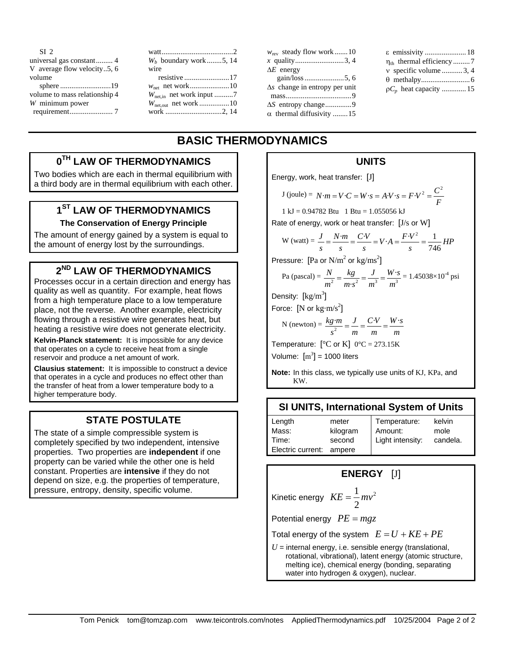| SI <sub>2</sub>               | watt                   |
|-------------------------------|------------------------|
|                               | $W_h$ boun             |
| V average flow velocity5, 6   | wire                   |
| volume                        | resisti                |
|                               | $W_{\text{net}}$ net   |
| volume to mass relationship 4 | $W_{\text{net,in}}$ ne |
| W minimum power               | $W_{\text{net,out}}$ n |
|                               | work                   |
|                               |                        |

| $W_h$ boundary work5, 14 |
|--------------------------|
| wire                     |
|                          |
|                          |
|                          |
|                          |
|                          |

| $w_{\text{rev}}$ steady flow work 10  |
|---------------------------------------|
| x quality3,4                          |
| $\Delta E$ energy                     |
|                                       |
| $\Delta s$ change in entropy per unit |
|                                       |
| ΔS entropy change9                    |
| $\alpha$ thermal diffusivity 15       |

| ε emissivity 18          |
|--------------------------|
|                          |
| v specific volume 3, 4   |
|                          |
| $pC_p$ heat capacity  15 |

# **BASIC THERMODYNAMICS**

# **0TH LAW OF THERMODYNAMICS**

Two bodies which are each in thermal equilibrium with a third body are in thermal equilibrium with each other.

# **1ST LAW OF THERMODYNAMICS**

#### **The Conservation of Energy Principle**

The amount of energy gained by a system is equal to the amount of energy lost by the surroundings.

### **2ND LAW OF THERMODYNAMICS**

Processes occur in a certain direction and energy has quality as well as quantity. For example, heat flows from a high temperature place to a low temperature place, not the reverse. Another example, electricity flowing through a resistive wire generates heat, but heating a resistive wire does not generate electricity.

**Kelvin-Planck statement:** It is impossible for any device that operates on a cycle to receive heat from a single reservoir and produce a net amount of work.

**Clausius statement:** It is impossible to construct a device that operates in a cycle and produces no effect other than the transfer of heat from a lower temperature body to a higher temperature body.

# **STATE POSTULATE**

The state of a simple compressible system is completely specified by two independent, intensive properties. Two properties are **independent** if one property can be varied while the other one is held constant. Properties are **intensive** if they do not depend on size, e.g. the properties of temperature, pressure, entropy, density, specific volume.

### **UNITS**

Energy, work, heat transfer: [J]

$$
J(joule) = N \cdot m = V \cdot C = W \cdot s = A \cdot V \cdot s = F \cdot V^2 = \frac{C^2}{F}
$$

 $1 \text{ kJ} = 0.94782 \text{ B}$ tu  $1 \text{ B}$ tu = 1.055056 kJ

Rate of energy, work or heat transfer: [J/s or W]

$$
W (watt) = \frac{J}{s} = \frac{N \cdot m}{s} = \frac{C \cdot V}{s} = V \cdot A = \frac{F \cdot V^2}{s} = \frac{1}{746} H P
$$

Pressure: [Pa or  $N/m^2$  or  $\text{kg}/\text{ms}^2$ ]

Pa (pascal) = 
$$
\frac{N}{m^2} = \frac{kg}{m \cdot s^2} = \frac{J}{m^3} = \frac{W \cdot s}{m^3} = 1.45038 \times 10^{-4} \text{ psi}
$$

Density:  $[kg/m^3]$ 

Force:  $[N \text{ or } kg \cdot m/s^2]$ 

N (newton) = 
$$
\frac{kg \cdot m}{s^2}
$$
 =  $\frac{J}{m}$  =  $\frac{C \cdot V}{m}$  =  $\frac{W \cdot s}{m}$ 

Temperature:  $[°C$  or K]  $0°C = 273.15K$ Volume:  $[m^3] = 1000$  liters

**Note:** In this class, we typically use units of KJ, KPa, and KW.

#### **SI UNITS, International System of Units**

| Length            | meter    | Temperature:     | kelvin   |
|-------------------|----------|------------------|----------|
| Mass:             | kilogram | Amount:          | mole     |
| Time:             | second   | Light intensity: | candela. |
| Electric current: | ampere   |                  |          |

# **ENERGY** [J]

Kinetic energy  $KE = \frac{1}{2}mv^2$ 2  $KE = \frac{1}{2}mv$ 

Potential energy  $PE = mgz$ 

Total energy of the system  $E = U + KE + PE$ 

 $U =$  internal energy, i.e. sensible energy (translational, rotational, vibrational), latent energy (atomic structure, melting ice), chemical energy (bonding, separating water into hydrogen & oxygen), nuclear.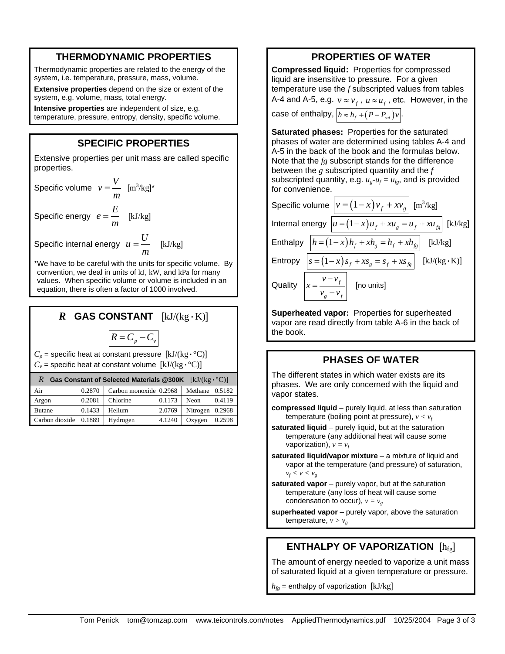#### **THERMODYNAMIC PROPERTIES**

Thermodynamic properties are related to the energy of the system, i.e. temperature, pressure, mass, volume.

**Extensive properties** depend on the size or extent of the system, e.g. volume, mass, total energy.

**Intensive properties** are independent of size, e.g. temperature, pressure, entropy, density, specific volume.

#### **SPECIFIC PROPERTIES**

Extensive properties per unit mass are called specific properties.

Specific volume  $v = \frac{V}{m}$  [m<sup>3</sup>/kg]\* Specific energy  $e = \frac{E}{m}$  [kJ/kg]

Specific internal energy  $u = \frac{U}{m}$  [kJ/kg]

\*We have to be careful with the units for specific volume. By convention, we deal in units of kJ, kW, and kPa for many values. When specific volume or volume is included in an equation, there is often a factor of 1000 involved.

# *R* **GAS CONSTANT** [kJ/(kg·K)]

$$
R = C_p - C_v
$$

 $C_p$  = specific heat at constant pressure  $[kJ/(kg \cdot {}^{\circ}C)]$ 

 $C_v$  = specific heat at constant volume  $[kJ/(kg \cdot {}^{\circ}C)]$ 

| Gas Constant of Selected Materials @300K $[kJ/(kg \cdot {}^{\circ}C)]$ |        |                        |        |                 |        |  |
|------------------------------------------------------------------------|--------|------------------------|--------|-----------------|--------|--|
| Air                                                                    | 0.2870 | Carbon monoxide 0.2968 |        | Methane 0.5182  |        |  |
| Argon                                                                  | 0.2081 | Chlorine               | 0.1173 | <b>Neon</b>     | 0.4119 |  |
| <b>Butane</b>                                                          | 0.1433 | Helium                 | 2.0769 | Nitrogen 0.2968 |        |  |
| Carbon dioxide                                                         | 0.1889 | Hydrogen               | 4.1240 | Oxygen          | 0.2598 |  |

#### **PROPERTIES OF WATER**

**Compressed liquid:** Properties for compressed liquid are insensitive to pressure. For a given temperature use the *f* subscripted values from tables A-4 and A-5, e.g.  $v \approx v_f$ ,  $u \approx u_f$ , etc. However, in the

case of enthalpy,  $|h \approx h_f + (P-P_{sat})v$ .

**Saturated phases:** Properties for the saturated phases of water are determined using tables A-4 and A-5 in the back of the book and the formulas below. Note that the *fg* subscript stands for the difference between the *g* subscripted quantity and the *f* subscripted quantity, e.g.  $u_{g}-u_{f}=u_{fg}$ , and is provided for convenience.

Specific volume  $v = (1 - x)v_f + xv_g$  [m<sup>3</sup>/kg] Internal energy  $u = (1-x)u_f + xu_g = u_f + xu_{fg}$  [kJ/kg] Enthalpy  $|h = (1 - x)h_f + xh_g = h_f + xh_{fg}$  [kJ/kg] Entropy  $|s = (1-x) s_f + x s_g = s_f + x s_g$  [kJ/(kg·K)] Quality *<sup>f</sup> g f*  $v - v$ *x*  $v_{\circ} - v$ ∫no units]

**Superheated vapor:** Properties for superheated vapor are read directly from table A-6 in the back of the book.

#### **PHASES OF WATER**

The different states in which water exists are its phases. We are only concerned with the liquid and vapor states.

- **compressed liquid** purely liquid, at less than saturation temperature (boiling point at pressure),  $v < v_f$
- **saturated liquid** purely liquid, but at the saturation temperature (any additional heat will cause some vaporization),  $v = v_f$
- **saturated liquid/vapor mixture** a mixture of liquid and vapor at the temperature (and pressure) of saturation,  $v_f < v < v_g$
- **saturated vapor** purely vapor, but at the saturation temperature (any loss of heat will cause some condensation to occur),  $v = v<sub>g</sub>$

**superheated vapor** – purely vapor, above the saturation temperature,  $v > v_g$ 

# **ENTHALPY OF VAPORIZATION** [hfg]

The amount of energy needed to vaporize a unit mass of saturated liquid at a given temperature or pressure.

 $h_{fg}$  = enthalpy of vaporization [kJ/kg]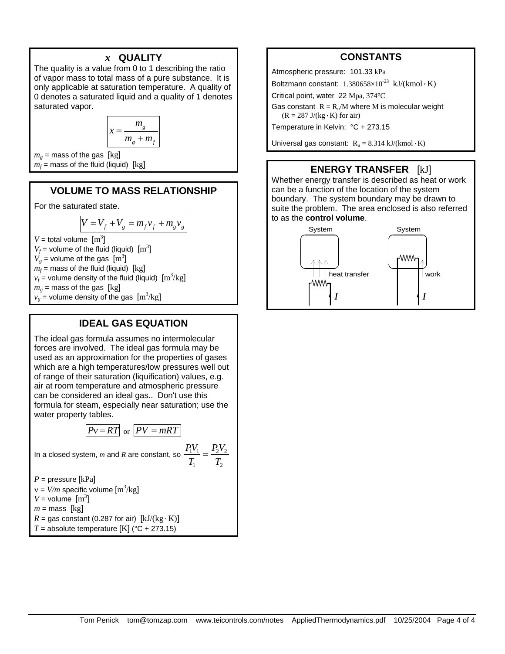#### *x* **QUALITY**

The quality is a value from 0 to 1 describing the ratio of vapor mass to total mass of a pure substance. It is only applicable at saturation temperature. A quality of 0 denotes a saturated liquid and a quality of 1 denotes saturated vapor.

$$
x = \frac{m_g}{m_g + m_f}
$$

 $m<sub>g</sub>$  = mass of the gas [kg]  $m_f$  = mass of the fluid (liquid)  $\lceil \text{kg} \rceil$ 

### **VOLUME TO MASS RELATIONSHIP**

For the saturated state.

$$
V = V_f + V_g = m_f v_f + m_g v_g
$$

 $V =$  total volume  $[m^3]$ 

 $V_f$  = volume of the fluid (liquid)  $\text{[m}^3\text{]}$ 

 $V_g$  = volume of the gas  $\text{[m}^3\text{]}$ 

 $m_f$  = mass of the fluid (liquid) [kg]  $v_f$  = volume density of the fluid (liquid)  $\text{[m}^3/\text{kg}]$ 

 $m<sub>g</sub>$  = mass of the gas [kg]

 $v_g =$  volume density of the gas  $[m^3/kg]$ 

### **IDEAL GAS EQUATION**

The ideal gas formula assumes no intermolecular forces are involved. The ideal gas formula may be used as an approximation for the properties of gases which are a high temperatures/low pressures well out of range of their saturation (liquification) values, e.g. air at room temperature and atmospheric pressure can be considered an ideal gas.. Don't use this formula for steam, especially near saturation; use the water property tables.

$$
Pv = RT
$$
 or  $PV = mRT$ 

1  $\frac{1}{2}$ 

In a closed system, *m* and *R* are constant, so  $\frac{1+\mathbf{v}_1}{2} = \frac{12\mathbf{v}_2}{2}$  $\frac{P_1 V_1}{T_1} = \frac{P_2 V_1}{T_2}$ 

$$
P =
$$
 pressure [kPa]

$$
v = V/m
$$
specific volume [m<sup>3</sup>/kg]

 $V =$  volume  $[m^3]$ 

$$
m = \text{mass} [kg]
$$

 $R =$  gas constant (0.287 for air)  $[kJ/(kg \cdot K)]$ 

*T* = absolute temperature  $[K]$  (°C + 273.15)

# **CONSTANTS**

Atmospheric pressure: 101.33 kPa

Boltzmann constant:  $1.380658\times10^{-23}$  kJ/(kmol·K) Critical point, water 22 Mpa, 374°C

Gas constant  $R = R_v/M$  where M is molecular weight

 $(R = 287 \text{ J/(kg} \cdot \text{K}) \text{ for air})$ Temperature in Kelvin: °C + 273.15

Universal gas constant:  $R<sub>u</sub> = 8.314 \text{ kJ/(kmol} \cdot \text{K)}$ 

#### **ENERGY TRANSFER** [kJ]

Whether energy transfer is described as heat or work can be a function of the location of the system boundary. The system boundary may be drawn to suite the problem. The area enclosed is also referred to as the **control volume**.

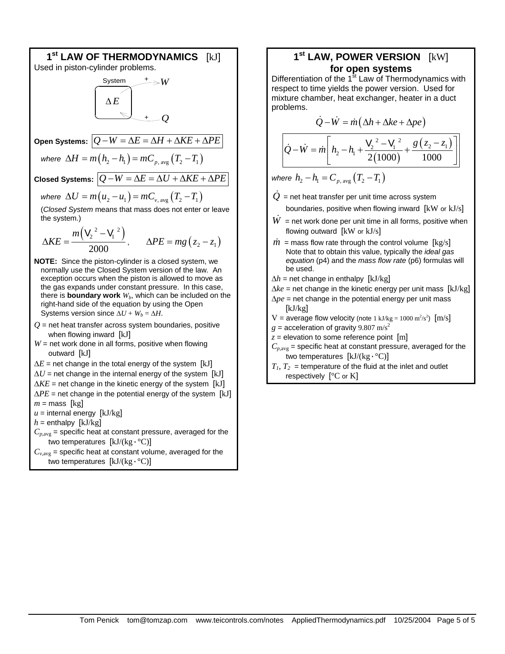

#### **1st LAW, POWER VERSION** [kW] **for open systems**

Differentiation of the  $1<sup>st</sup>$  Law of Thermodynamics with respect to time yields the power version. Used for mixture chamber, heat exchanger, heater in a duct problems.

$$
\dot{Q} - \dot{W} = \dot{m} \left( \Delta h + \Delta k e + \Delta p e \right)
$$

$$
\dot{Q} - \dot{W} = \dot{m} \left[ h_2 - h_1 + \frac{V_2^2 - V_1^2}{2(1000)} + \frac{g(z_2 - z_1)}{1000} \right]
$$

*where*  $h_2 - h_1 = C_{n \text{ ave}} (T_2 - T_1)$ 

 $\dot{Q}$  = net heat transfer per unit time across system

boundaries, positive when flowing inward  $[kW]$  or  $kJ/s$ ]

- $W =$  net work done per unit time in all forms, positive when flowing outward [kW or kJ/s]
- $\dot{m}$  = mass flow rate through the control volume  $\lceil \text{kg/s} \rceil$ Note that to obtain this value, typically the *ideal gas equation* (p4) and the *mass flow rate* (p6) formulas will be used.
- $\Delta h$  = net change in enthalpy [kJ/kg]

$$
\Delta ke = \text{net change in the kinetic energy per unit mass [kJ/kg]}
$$

- ∆*pe* = net change in the potential energy per unit mass [kJ/kg]
- V = average flow velocity (note 1 kJ/kg =  $1000 \text{ m}^2/\text{s}^2$ ) [m/s]
- $g =$  acceleration of gravity 9.807 m/s<sup>2</sup>
- $z =$  elevation to some reference point  $[m]$
- $C_{p,avg}$  = specific heat at constant pressure, averaged for the two temperatures [kJ/(kg·°C)]
- $T_1, T_2$  = temperature of the fluid at the inlet and outlet respectively  $[°C$  or K]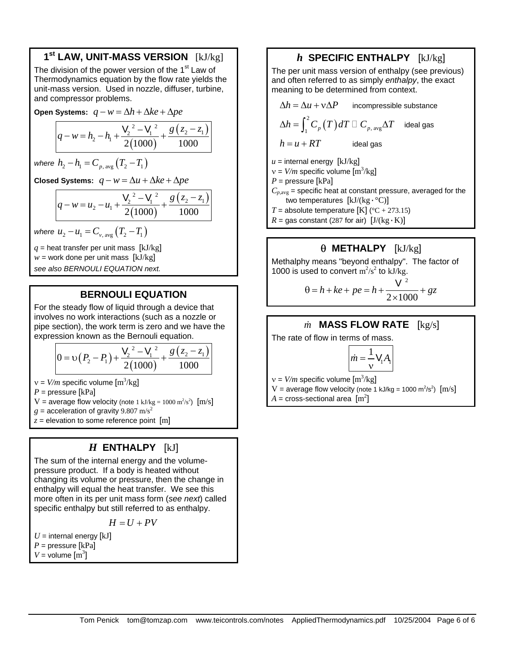# **1st LAW, UNIT-MASS VERSION** [kJ/kg]

The division of the power version of the 1<sup>st</sup> Law of Thermodynamics equation by the flow rate yields the unit-mass version. Used in nozzle, diffuser, turbine, and compressor problems.

**Open Systems:**  $q - w = \Delta h + \Delta k e + \Delta p e$ 

$$
q - w = h_2 - h_1 + \frac{V_2^2 - V_1^2}{2(1000)} + \frac{g(z_2 - z_1)}{1000}
$$

*where*  $h_2 - h_1 = C_{p \text{ ave}} (T_2 - T_1)$ 

**Closed Systems:**  $q - w = \Delta u + \Delta ke + \Delta pe$ 

$$
q - w = u_2 - u_1 + \frac{V_2^2 - V_1^2}{2(1000)} + \frac{g(z_2 - z_1)}{1000}
$$

*where*  $u_2 - u_1 = C_{v \text{avg}} (T_2 - T_1)$ 

 $q$  = heat transfer per unit mass  $[kJ/kg]$  $w =$  work done per unit mass  $[kJ/kg]$ *see also BERNOULI EQUATION next.*

# **BERNOULI EQUATION**

For the steady flow of liquid through a device that involves no work interactions (such as a nozzle or pipe section), the work term is zero and we have the expression known as the Bernouli equation.

$$
0 = v(P_2 - P_1) + \frac{V_2^2 - V_1^2}{2(1000)} + \frac{g(z_2 - z_1)}{1000}
$$

 $v = V/m$  specific volume  $[m^3/kg]$ 

*P* = pressure [kPa]

V = average flow velocity (note  $1 \text{ kJ/kg} = 1000 \text{ m}^2/\text{s}^2$ )  $\text{[m/s]}$ 

 $g =$  acceleration of gravity 9.807 m/s<sup>2</sup>

 $z =$  elevation to some reference point  $[m]$ 

# *H* **ENTHALPY** [kJ]

The sum of the internal energy and the volumepressure product. If a body is heated without changing its volume or pressure, then the change in enthalpy will equal the heat transfer. We see this more often in its per unit mass form (*see next*) called specific enthalpy but still referred to as enthalpy.

 $H = U + PV$ 

 $U =$  internal energy  $[kJ]$ *P* = pressure [kPa]  $V =$  volume  $\text{[m}^3\text{]}$ 

### *h* **SPECIFIC ENTHALPY** [kJ/kg]

The per unit mass version of enthalpy (see previous) and often referred to as simply *enthalpy*, the exact meaning to be determined from context.

$$
\Delta h = \Delta u + v \Delta P
$$
incompressible substance  
\n
$$
\Delta h = \int_{1}^{2} C_p(T) dT \Box C_{p, avg} \Delta T
$$
ideal gas  
\n
$$
h = u + RT
$$
ideal gas  
\n
$$
u = \text{internal energy [kJ/kg]}
$$
  
\n
$$
v = V/m \text{ specific volume [m3/kg]}
$$

 $P =$  pressure [kPa]

 $C_{p,avg}$  = specific heat at constant pressure, averaged for the two temperatures  $[kJ/(kg \cdot {}^{\circ}C)]$ 

*T* = absolute temperature  $[K]$  (°C + 273.15)

 $R =$  gas constant (287 for air)  $[J/(kg \cdot K)]$ 

# θ **METHALPY** [kJ/kg]

Methalphy means "beyond enthalpy". The factor of 1000 is used to convert  $m^2/s^2$  to kJ/kg.

$$
\theta = h + ke + pe = h + \frac{V^2}{2 \times 1000} + gz
$$

### *m* **MASS FLOW RATE** [kg/s]

The rate of flow in terms of mass.

$$
\dot{m} = \frac{1}{v} V_1 A_1
$$

 $v = V/m$  specific volume  $[m^3/kg]$ 

 $V =$  average flow velocity (note 1 kJ/kg = 1000 m<sup>2</sup>/s<sup>2</sup>)  $[m/s]$ 

 $A = \text{cross-sectional area } [\text{m}^2]$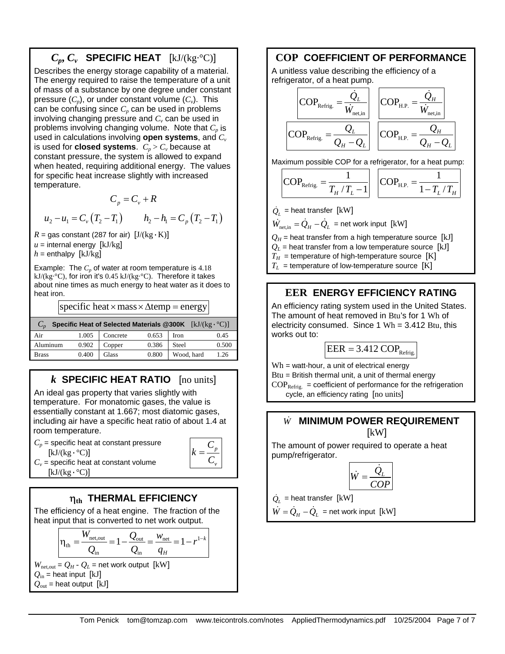# $C_p, C_v$  **SPECIFIC HEAT** [kJ/(kg·°C)]

Describes the energy storage capability of a material. The energy required to raise the temperature of a unit of mass of a substance by one degree under constant pressure  $(C_p)$ , or under constant volume  $(C_v)$ . This can be confusing since  $C_p$  can be used in problems involving changing pressure and  $C_v$  can be used in problems involving changing volume. Note that  $C_p$  is used in calculations involving **open systems**, and *Cv* is used for **closed systems**.  $C_p > C_v$  because at constant pressure, the system is allowed to expand when heated, requiring additional energy. The values for specific heat increase slightly with increased temperature.

 $C_p = C_v + R$  $u_2 - u_1 = C_v (T_2 - T_1)$   $h_2 - h_1 = C_v (T_2 - T_1)$ 

 $R =$  gas constant (287 for air)  $[J/(kg \cdot K)]$  $u =$  internal energy  $[kJ/kg]$  $h =$  enthalpy [kJ/kg]

Example: The  $C_p$  of water at room temperature is  $4.18$ kJ/(kg·°C), for iron it's 0.45 kJ/(kg·°C). Therefore it takes about nine times as much energy to heat water as it does to heat iron.

specific heat  $\times$  mass  $\times \Delta$  temp = energy

| Specific Heat of Selected Materials @300K $[kJ/(kg \cdot {}^{\circ}C)]$ |       |          |       |             |       |  |
|-------------------------------------------------------------------------|-------|----------|-------|-------------|-------|--|
| Air                                                                     | 1.005 | Concrete | 0.653 | <b>Iron</b> | 0.45  |  |
| Aluminum                                                                | 0.902 | Copper   | 0.386 | Steel       | 0.500 |  |
| <b>Brass</b>                                                            | 0.400 | Glass    | 0.800 | Wood, hard  | 1.26  |  |

# *k* **SPECIFIC HEAT RATIO** [no units]

An ideal gas property that varies slightly with temperature. For monatomic gases, the value is essentially constant at 1.667; most diatomic gases, including air have a specific heat ratio of about 1.4 at room temperature.

 $C_p$  = specific heat at constant pressure  $[kJ/(kg \cdot {}^{\circ}C)]$ 

*p v C k*  $=\frac{c}{C}$ 

 $C_v$  = specific heat at constant volume  $[kJ/(kg \cdot ^{\circ}C)]$ 

# η**th THERMAL EFFICIENCY**

The efficiency of a heat engine. The fraction of the heat input that is converted to net work output.

$$
\eta_{\text{th}} = \frac{W_{\text{net,out}}}{Q_{\text{in}}} = 1 - \frac{Q_{\text{out}}}{Q_{\text{in}}} = \frac{W_{\text{net}}}{q_H} = 1 - r^{1-k}
$$

 $W_{\text{net,out}} = Q_H - Q_L$  = net work output [kW]  $Q_{\text{in}}$  = heat input [kJ]  $Q_{\text{out}}$  = heat output [kJ]

### **COP COEFFICIENT OF PERFORMANCE**

A unitless value describing the efficiency of a refrigerator, of a heat pump.

$$
\boxed{\text{COP}_{\text{Refrig.}}} = \frac{\dot{Q}_L}{\dot{W}_{\text{net,in}}} \quad \boxed{\text{COP}_{\text{H.P.}} = \frac{\dot{Q}_H}{\dot{W}_{\text{net,in}}}}
$$
\n
$$
\boxed{\text{COP}_{\text{Refrig.}}} = \frac{Q_L}{Q_H - Q_L} \quad \boxed{\text{COP}_{\text{H.P.}} = \frac{Q_H}{Q_H - Q_L}}
$$

Maximum possible COP for a refrigerator, for a heat pump:

$$
COP_{\text{Refrig.}} = \frac{1}{T_H / T_L - 1}
$$
  $COP_{\text{H.P.}} = \frac{1}{1 - T_L / T_H}$ 

 $\dot{\mathcal{Q}}_{\scriptscriptstyle L}$  = heat transfer [kW]

 $\dot{W}_{\text{net in}} = \dot{Q}_H - \dot{Q}_L$  = net work input [kW]

 $Q_H$  = heat transfer from a high temperature source [kJ]

- $Q_L$  = heat transfer from a low temperature source [kJ]
- $T_H$  = temperature of high-temperature source [K]
- $T_L$  = temperature of low-temperature source [K]

# **EER ENERGY EFFICIENCY RATING**

An efficiency rating system used in the United States. The amount of heat removed in Btu's for 1 Wh of electricity consumed. Since  $1 \text{ Wh} = 3.412 \text{ Btu}$ , this works out to:

$$
EER = 3.412 \, COP_{Refrig.}
$$

 $Wh = watt-hour$ , a unit of electrical energy Btu = British thermal unit, a unit of thermal energy  $COP<sub>Refrig.</sub> = coefficient of performance for the refri  
generation$ cycle, an efficiency rating [no units]

#### *W*& **MINIMUM POWER REQUIREMENT** [kW]

The amount of power required to operate a heat pump/refrigerator.

$$
\dot{W} = \frac{\dot{Q}_L}{COP}
$$

 $\dot{\mathcal{Q}}_{_L}$  = heat transfer [kW]

$$
\dot{W} = \dot{Q}_{H} - \dot{Q}_{L} = \text{net work input [kW]}
$$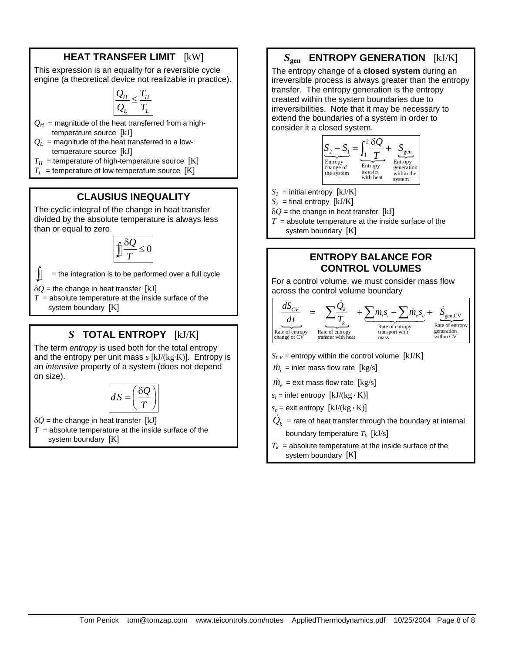# **HEAT TRANSFER LIMIT** [kW]

This expression is an equality for a reversible cycle engine (a theoretical device not realizable in practice).

$$
\frac{Q_H}{Q_L} \leq \frac{T_H}{T_L}
$$

- $Q_H$  = magnitude of the heat transferred from a hightemperature source [kJ]
- $Q_L$  = magnitude of the heat transferred to a lowtemperature source [kJ]
- $T_H$  = temperature of high-temperature source [K]
- $T_L$  = temperature of low-temperature source  $[K]$

# **CLAUSIUS INEQUALITY**

The cyclic integral of the change in heat transfer divided by the absolute temperature is always less than or equal to zero.

> $\frac{Q}{P} \leq 0$  $\iint \frac{\delta Q}{T} \leq$

∫ = the integration is to be performed over a full cycle

 $\delta$ *O* = the change in heat transfer [kJ]

 $T =$  absolute temperature at the inside surface of the system boundary [K]

# *S* **TOTAL ENTROPY** [kJ/K]

The term *entropy* is used both for the total entropy and the entropy per unit mass *s* [kJ/(kg·K)]. Entropy is an *intensive* property of a system (does not depend on size).

$$
dS = \left(\frac{\delta Q}{T}\right)
$$

 $\delta Q$  = the change in heat transfer [kJ]

 $T =$  absolute temperature at the inside surface of the system boundary [K]

# *S***gen ENTROPY GENERATION** [kJ/K]

The entropy change of a **closed system** during an irreversible process is always greater than the entropy transfer. The entropy generation is the entropy created within the system boundaries due to irreversibilities. Note that it may be necessary to extend the boundaries of a system in order to consider it a closed system.



- $S_I$  = initial entropy [kJ/K]
- $S_2$  = final entropy [kJ/K]
- $\delta Q$  = the change in heat transfer [kJ]
- $T =$  absolute temperature at the inside surface of the system boundary [K]

#### **ENTROPY BALANCE FOR CONTROL VOLUMES**

For a control volume, we must consider mass flow across the control volume boundary



- $S_{CV}$  = entropy within the control volume  $[kJ/K]$
- $\dot{m}_i$  = inlet mass flow rate [kg/s]
- $\dot{m}_e$  = exit mass flow rate [kg/s]
- $s_i$  = inlet entropy  $[kJ/(kg \cdot K)]$
- $s_e$  = exit entropy  $[kJ/(kg \cdot K)]$
- $\dot{\mathcal{Q}}_k$  = rate of heat transfer through the boundary at internal boundary temperature  $T_k$  [kJ/s]
- $T_k$  = absolute temperature at the inside surface of the system boundary [K]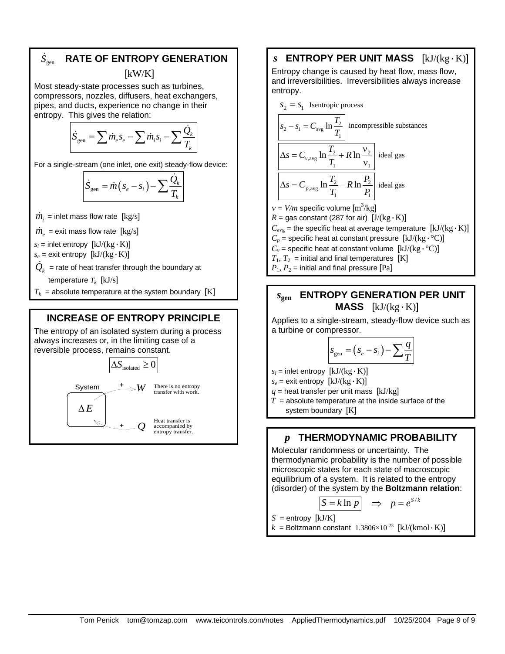#### $\dot{S}_{\text{gen}}$ & **RATE OF ENTROPY GENERATION**

[kW/K]

Most steady-state processes such as turbines, compressors, nozzles, diffusers, heat exchangers, pipes, and ducts, experience no change in their entropy. This gives the relation:

$$
\dot{S}_{\text{gen}} = \sum \dot{m}_e s_e - \sum \dot{m}_i s_i - \sum \frac{\dot{Q}_k}{T_k}
$$

For a single-stream (one inlet, one exit) steady-flow device:

$$
\dot{S}_{gen} = \dot{m}(s_e - s_i) - \sum \frac{\dot{Q}_k}{T_k}
$$

- $\dot{m}_i$  = inlet mass flow rate [kg/s]
- $\dot{m}_e$  = exit mass flow rate [kg/s]

 $s_i$  = inlet entropy  $[kJ/(kg \cdot K)]$ 

 $s_e$  = exit entropy  $[kJ/(kg \cdot K)]$ 

 $\dot{\mathcal{Q}}_{\scriptscriptstyle{k}}\,$  = rate of heat transfer through the boundary at

temperature  $T_k$  [kJ/s]

 $T_k$  = absolute temperature at the system boundary [K]

#### **INCREASE OF ENTROPY PRINCIPLE**

The entropy of an isolated system during a process always increases or, in the limiting case of a reversible process, remains constant.



#### *s* **ENTROPY PER UNIT MASS** [kJ/(kg·K)]

Entropy change is caused by heat flow, mass flow, and irreversibilities. Irreversibilities always increase entropy.



# *s***gen ENTROPY GENERATION PER UNIT MASS**  $[kJ/(kg \cdot K)]$

Applies to a single-stream, steady-flow device such as a turbine or compressor.

$$
s_{\text{gen}} = (s_e - s_i) - \sum \frac{q}{T}
$$

 $s_i$  = inlet entropy  $[kJ/(kg \cdot K)]$ 

 $s_e$  = exit entropy  $[kJ/(kg \cdot K)]$ 

 $q$  = heat transfer per unit mass  $[kJ/kg]$ 

 $T =$  absolute temperature at the inside surface of the system boundary [K]

#### *p* **THERMODYNAMIC PROBABILITY**

Molecular randomness or uncertainty. The thermodynamic probability is the number of possible microscopic states for each state of macroscopic equilibrium of a system. It is related to the entropy (disorder) of the system by the **Boltzmann relation**:

$$
S = k \ln p \implies p = e^{S/k}
$$

 $S =$  entropy [ $kJ/K$ ]

 $k =$ Boltzmann constant 1.3806×10<sup>-23</sup> [kJ/(kmol·K)]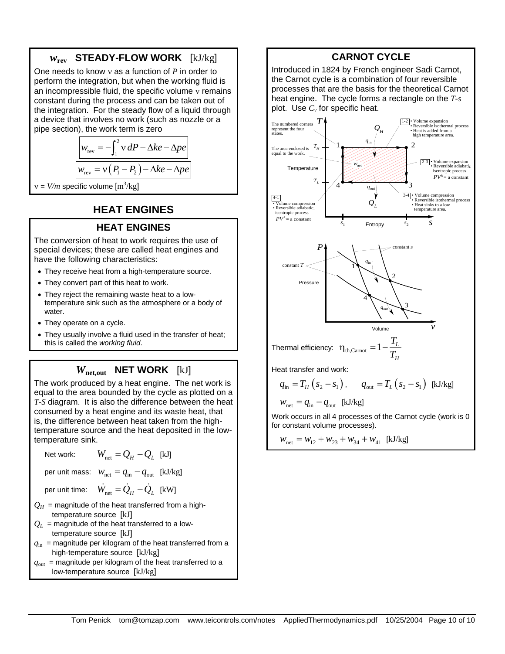# *w***rev STEADY-FLOW WORK** [kJ/kg]

One needs to know ν as a function of *P* in order to perform the integration, but when the working fluid is an incompressible fluid, the specific volume ν remains constant during the process and can be taken out of the integration. For the steady flow of a liquid through a device that involves no work (such as nozzle or a pipe section), the work term is zero

$$
w_{\text{rev}} = -\int_{1}^{2} v \, dP - \Delta ke - \Delta pe
$$

$$
w_{\text{rev}} = v(P_1 - P_2) - \Delta ke - \Delta pe
$$

 $v = V/m$  specific volume  $[m^3/kg]$ 

# **HEAT ENGINES**

#### **HEAT ENGINES**

The conversion of heat to work requires the use of special devices; these are called heat engines and have the following characteristics:

- They receive heat from a high-temperature source.
- They convert part of this heat to work.
- They reject the remaining waste heat to a lowtemperature sink such as the atmosphere or a body of water.
- They operate on a cycle.
- They usually involve a fluid used in the transfer of heat; this is called the *working fluid*.

# *W***net,out NET WORK** [kJ]

The work produced by a heat engine. The net work is equal to the area bounded by the cycle as plotted on a *T-S* diagram. It is also the difference between the heat consumed by a heat engine and its waste heat, that is, the difference between heat taken from the hightemperature source and the heat deposited in the lowtemperature sink.

Net work:  $W_{net} = Q_H - Q_I$  [kJ]

per unit mass:  $w_{\text{net}} = q_{\text{in}} - q_{\text{out}}$  [kJ/kg]

per unit time:  $\dot{W}_{net} = \dot{Q}_H - \dot{Q}_I$  [kW]

- $Q_H$  = magnitude of the heat transferred from a hightemperature source [kJ]
- $Q_L$  = magnitude of the heat transferred to a lowtemperature source [kJ]
- $q_{\text{in}}$  = magnitude per kilogram of the heat transferred from a high-temperature source [kJ/kg]
- $q_{\text{out}}$  = magnitude per kilogram of the heat transferred to a low-temperature source [kJ/kg]

### **CARNOT CYCLE**

Introduced in 1824 by French engineer Sadi Carnot, the Carnot cycle is a combination of four reversible processes that are the basis for the theoretical Carnot heat engine. The cycle forms a rectangle on the *T-s* plot. Use  $C_v$  for specific heat.



Work occurs in all 4 processes of the Carnot cycle (work is 0 for constant volume processes).

$$
W_{\text{net}} = W_{12} + W_{23} + W_{34} + W_{41} \text{ [kJ/kg]}
$$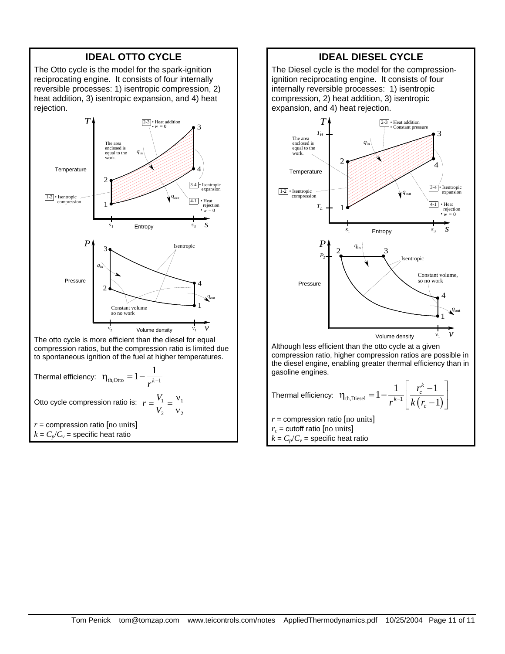# **IDEAL OTTO CYCLE**

The Otto cycle is the model for the spark-ignition reciprocating engine. It consists of four internally reversible processes: 1) isentropic compression, 2) heat addition, 3) isentropic expansion, and 4) heat rejection.





 $k = C_p/C_v$  = specific heat ratio

### **IDEAL DIESEL CYCLE**

The Diesel cycle is the model for the compressionignition reciprocating engine. It consists of four internally reversible processes: 1) isentropic compression, 2) heat addition, 3) isentropic expansion, and 4) heat rejection.



Although less efficient than the otto cycle at a given compression ratio, higher compression ratios are possible in the diesel engine, enabling greater thermal efficiency than in gasoline engines.

Thermal efficiency: 
$$
\eta_{th, \text{Diesel}} = 1 - \frac{1}{r^{k-1}} \left[ \frac{r_c^k - 1}{k(r_c - 1)} \right]
$$
  
 $r = \text{compression ratio [no units]}$ 

 $r_c$  = cutoff ratio [no units]

 $k = C_p/C_v$  = specific heat ratio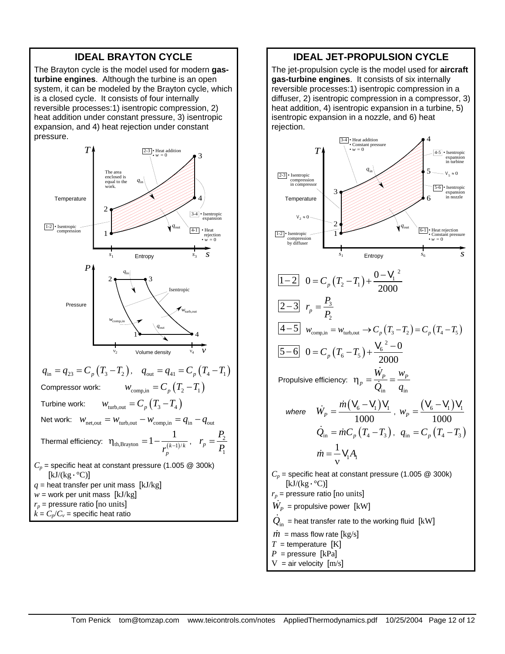#### **IDEAL BRAYTON CYCLE**

The Brayton cycle is the model used for modern **gasturbine engines**. Although the turbine is an open system, it can be modeled by the Brayton cycle, which is a closed cycle. It consists of four internally reversible processes:1) isentropic compression, 2) heat addition under constant pressure, 3) isentropic expansion, and 4) heat rejection under constant pressure.



#### **IDEAL JET-PROPULSION CYCLE**

The jet-propulsion cycle is the model used for **aircraft gas-turbine engines**. It consists of six internally reversible processes:1) isentropic compression in a diffuser, 2) isentropic compression in a compressor, 3) heat addition, 4) isentropic expansion in a turbine, 5) isentropic expansion in a nozzle, and 6) heat rejection.

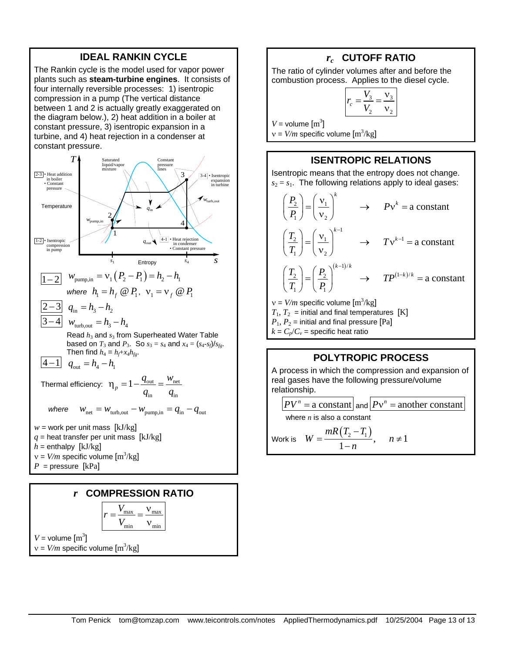#### **IDEAL RANKIN CYCLE**

The Rankin cycle is the model used for vapor power plants such as **steam-turbine engines**. It consists of four internally reversible processes: 1) isentropic compression in a pump (The vertical distance between 1 and 2 is actually greatly exaggerated on the diagram below.), 2) heat addition in a boiler at constant pressure, 3) isentropic expansion in a turbine, and 4) heat rejection in a condenser at constant pressure.





#### *rc* **CUTOFF RATIO**

The ratio of cylinder volumes after and before the combustion process. Applies to the diesel cycle.

$$
r_c = \frac{V_3}{V_2} = \frac{V_3}{V_2}
$$

 $V =$  volume  $\text{[m}^3\text{]}$ 

 $v = V/m$  specific volume  $[m^3/kg]$ 

 $k = C_p/C_v$  = specific heat ratio

#### **ISENTROPIC RELATIONS**

Isentropic means that the entropy does not change.  $s_2 = s_1$ . The following relations apply to ideal gases:

$$
\left(\frac{P_2}{P_1}\right) = \left(\frac{v_1}{v_2}\right)^k \rightarrow PV^k = \text{a constant}
$$
\n
$$
\left(\frac{T_2}{T_1}\right) = \left(\frac{v_1}{v_2}\right)^{k-1} \rightarrow TV^{k-1} = \text{a constant}
$$
\n
$$
\left(\frac{T_2}{T_1}\right) = \left(\frac{P_2}{P_1}\right)^{(k-1)/k} \rightarrow TP^{(1-k)/k} = \text{a constant}
$$
\n
$$
v = V/m \text{ specific volume } [m^3/kg]
$$
\n
$$
T_1, T_2 = \text{ initial and final temperatures [K]}
$$
\n
$$
P_1, P_2 = \text{ initial and final pressure [Pa]}
$$

# **POLYTROPIC PROCESS**

A process in which the compression and expansion of real gases have the following pressure/volume relationship.

$$
PV^{n} = \text{a constant} \text{ and } PV^{n} = \text{another constant}
$$
  
where *n* is also a constant  
Work is  $W = \frac{mR(T_{2} - T_{1})}{1 - n}, \quad n \neq 1$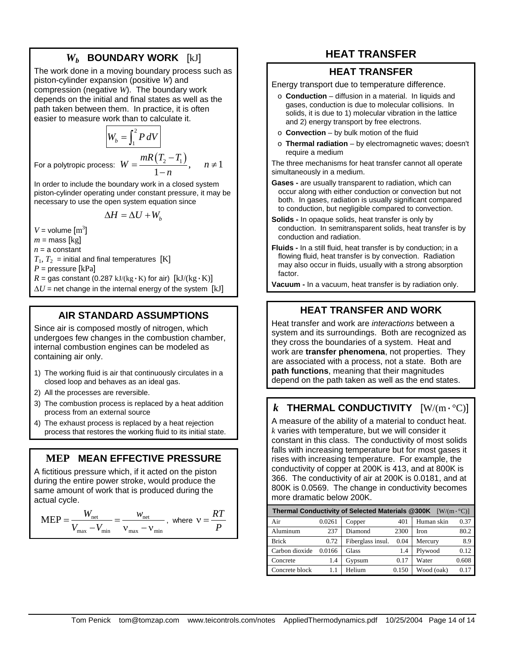# *Wb* **BOUNDARY WORK** [kJ]

The work done in a moving boundary process such as piston-cylinder expansion (positive *W*) and compression (negative *W*). The boundary work depends on the initial and final states as well as the path taken between them. In practice, it is often easier to measure work than to calculate it.

$$
W_b = \int_1^2 P \, dV
$$
  
For a polytropic process:  $W = \frac{mR(T_2 - T_1)}{1 - n}, \quad n \neq 1$ 

In order to include the boundary work in a closed system piston-cylinder operating under constant pressure, it may be necessary to use the open system equation since

$$
\Delta H = \Delta U + W_b
$$

$$
V = \text{volume [m}^3
$$

 $m =$  mass [kg]  $n = a$  constant

 $T_1, T_2$  = initial and final temperatures [K]

]

*P* = pressure [kPa]

 $R =$  gas constant (0.287 kJ/(kg · K) for air)  $[kJ/(kg \cdot K)]$ 

 $\Delta U$  = net change in the internal energy of the system [kJ]

### **AIR STANDARD ASSUMPTIONS**

Since air is composed mostly of nitrogen, which undergoes few changes in the combustion chamber, internal combustion engines can be modeled as containing air only.

- 1) The working fluid is air that continuously circulates in a closed loop and behaves as an ideal gas.
- 2) All the processes are reversible.
- 3) The combustion process is replaced by a heat addition process from an external source
- 4) The exhaust process is replaced by a heat rejection process that restores the working fluid to its initial state.

# **MEP MEAN EFFECTIVE PRESSURE**

A fictitious pressure which, if it acted on the piston during the entire power stroke, would produce the same amount of work that is produced during the actual cycle.

$$
MEP = \frac{W_{\text{net}}}{V_{\text{max}} - V_{\text{min}}} = \frac{W_{\text{net}}}{V_{\text{max}} - V_{\text{min}}}, \text{ where } v = \frac{RT}{P}
$$

# **HEAT TRANSFER**

#### **HEAT TRANSFER**

Energy transport due to temperature difference.

- o **Conduction** diffusion in a material. In liquids and gases, conduction is due to molecular collisions. In solids, it is due to 1) molecular vibration in the lattice and 2) energy transport by free electrons.
- o **Convection** by bulk motion of the fluid
- o **Thermal radiation** by electromagnetic waves; doesn't require a medium

The three mechanisms for heat transfer cannot all operate simultaneously in a medium.

**Gases -** are usually transparent to radiation, which can occur along with either conduction or convection but not both. In gases, radiation is usually significant compared to conduction, but negligible compared to convection.

- **Solids -** In opaque solids, heat transfer is only by conduction. In semitransparent solids, heat transfer is by conduction and radiation.
- **Fluids -** In a still fluid, heat transfer is by conduction; in a flowing fluid, heat transfer is by convection. Radiation may also occur in fluids, usually with a strong absorption factor.

**Vacuum -** In a vacuum, heat transfer is by radiation only.

# **HEAT TRANSFER AND WORK**

Heat transfer and work are *interactions* between a system and its surroundings. Both are recognized as they cross the boundaries of a system. Heat and work are **transfer phenomena**, not properties. They are associated with a process, not a state. Both are **path functions**, meaning that their magnitudes depend on the path taken as well as the end states.

# *k* THERMAL CONDUCTIVITY  $[W/(m \cdot {}^{\circ}C)]$

A measure of the ability of a material to conduct heat. *k* varies with temperature, but we will consider it constant in this class. The conductivity of most solids falls with increasing temperature but for most gases it rises with increasing temperature. For example, the conductivity of copper at 200K is 413, and at 800K is 366. The conductivity of air at 200K is 0.0181, and at 800K is 0.0569. The change in conductivity becomes more dramatic below 200K.

| Thermal Conductivity of Selected Materials @300K<br>$[W/(m \cdot {}^{\circ}C)]$ |        |                   |       |             |       |
|---------------------------------------------------------------------------------|--------|-------------------|-------|-------------|-------|
| Air                                                                             | 0.0261 | Copper            | 401   | Human skin  | 0.37  |
| Aluminum                                                                        | 237    | Diamond           | 2300  | <b>Iron</b> | 80.2  |
| <b>Brick</b>                                                                    | 0.72   | Fiberglass insul. | 0.04  | Mercury     | 8.9   |
| Carbon dioxide                                                                  | 0.0166 | Glass             | 1.4   | Plywood     | 0.12  |
| Concrete                                                                        | 1.4    | Gypsum            | 0.17  | Water       | 0.608 |
| Concrete block                                                                  | 1.1    | Helium            | 0.150 | Wood (oak)  | 0.17  |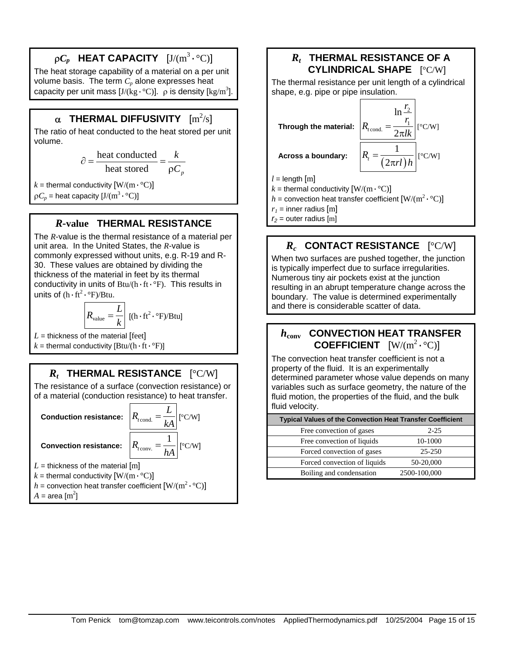# $\rho C_p$  <code>HEAT CAPACITY</code>  $[\text{J/(m^3 \cdot {}^\circ C)}]$

The heat storage capability of a material on a per unit volume basis. The term  $C_p$  alone expresses heat capacity per unit mass [J/(kg $\cdot$ °C)].  $\rho$  is density [kg/m<sup>3</sup>].

# $\boldsymbol{\alpha}$  THERMAL DIFFUSIVITY  $\rm [m^2/s]$

The ratio of heat conducted to the heat stored per unit volume.

$$
\partial = \frac{\text{heat conducted}}{\text{heat stored}} = \frac{k}{\rho C_p}
$$

 $k =$  thermal conductivity  $[W/(m \cdot {}^{\circ}C)]$ 

 $\rho C_p$  = heat capacity  $[J/(m^3 \cdot {}^{\circ}C)]$ 

#### *R-***value THERMAL RESISTANCE**

The *R*-value is the thermal resistance of a material per unit area. In the United States, the *R*-value is commonly expressed without units, e.g. R-19 and R-30. These values are obtained by dividing the thickness of the material in feet by its thermal conductivity in units of  $Btu/(h \cdot ft \cdot \degree F)$ . This results in units of  $(h \cdot ft^2 \cdot \text{P})/Btu$ .

$$
R_{value} = \frac{L}{k} [(h \cdot ft^2 \cdot \text{°F})/Btu]
$$

 $L =$  thickness of the material  $[feet]$ 

 $k =$  thermal conductivity  $[Btu/(h \cdot ft \cdot \degree F)]$ 

# *Rt* **THERMAL RESISTANCE** [°C/W]

The resistance of a surface (convection resistance) or of a material (conduction resistance) to heat transfer.

**Conduction resistance:** 

**Convection resistance:** 

$$
R_{\text{cond.}} = \frac{L}{kA} \quad [\text{°C/W}]
$$

$$
R_{\text{conv.}} = \frac{1}{hA} \quad [\text{°C/W}]
$$

 $L =$  thickness of the material  $[m]$ 

 $k =$  thermal conductivity  $[W/(m \cdot {}^{\circ}C)]$ 

$$
h
$$
 = convection heat transfer coefficient [W/(m<sup>2</sup>·°C)]

 $A = \text{area [m}^2$ 

# *Rt* **THERMAL RESISTANCE OF A CYLINDRICAL SHAPE** [°C/W]

The thermal resistance per unit length of a cylindrical shape, e.g. pipe or pipe insulation.



 $h$  = convection heat transfer coefficient  $\text{[W/(m^2 \cdot {}^\circ C)]}$ 

 $r_1$  = inner radius [m]

 $r_2$  = outer radius  $[m]$ 

# *Rc* **CONTACT RESISTANCE** [°C/W]

When two surfaces are pushed together, the junction is typically imperfect due to surface irregularities. Numerous tiny air pockets exist at the junction resulting in an abrupt temperature change across the boundary. The value is determined experimentally and there is considerable scatter of data.

# *h***conv CONVECTION HEAT TRANSFER COEFFICIENT**  $[W/(m^2 \cdot {}^{\circ}C)]$

The convection heat transfer coefficient is not a property of the fluid. It is an experimentally determined parameter whose value depends on many variables such as surface geometry, the nature of the fluid motion, the properties of the fluid, and the bulk fluid velocity.

| <b>Typical Values of the Convection Heat Transfer Coefficient</b> |              |
|-------------------------------------------------------------------|--------------|
| Free convection of gases                                          | $2 - 25$     |
| Free convection of liquids                                        | 10-1000      |
| Forced convection of gases                                        | $25 - 250$   |
| Forced convection of liquids                                      | 50-20,000    |
| Boiling and condensation                                          | 2500-100,000 |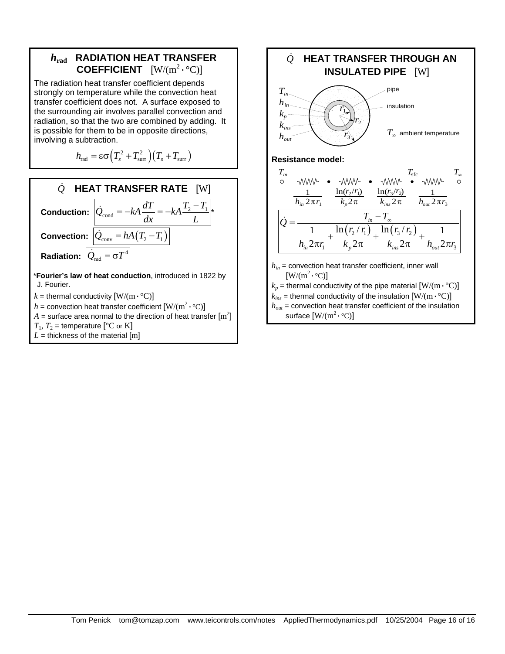

The radiation heat transfer coefficient depends strongly on temperature while the convection heat transfer coefficient does not. A surface exposed to the surrounding air involves parallel convection and radiation, so that the two are combined by adding. It is possible for them to be in opposite directions, involving a subtraction.

$$
h_{\rm rad} = \varepsilon \sigma \Big( T_s^2 + T_{\rm sur}^2 \Big) \Big( T_s + T_{\rm sur} \Big)
$$



 $k =$  thermal conductivity  $[W/(m \cdot {}^{\circ}C)]$ 

 $h$  = convection heat transfer coefficient  $\rm [W/(m^2\cdot ^{\circ}C)]$ 

 $A =$  surface area normal to the direction of heat transfer  $\mathrm{[m^2]}$ 

 $T_1$ ,  $T_2$  = temperature [°C or K]

 $L =$  thickness of the material  $[m]$ 

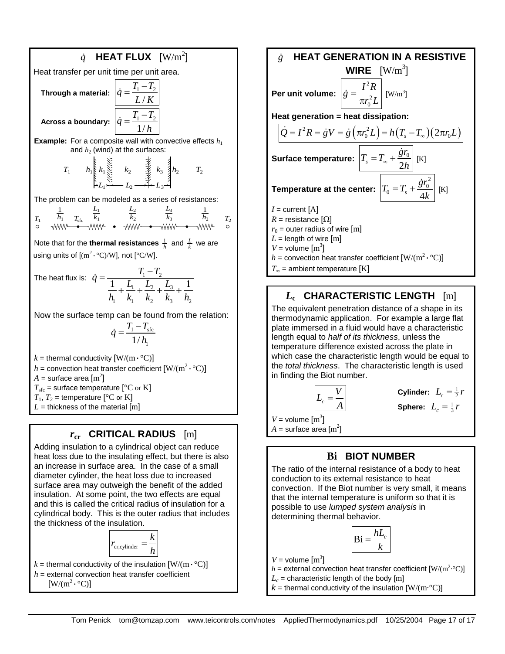$$
\dot{q}
$$
 **HEAT FLUX** 
$$
[W/m^2]
$$
  
Heat transfer per unit time per unit area.  
Through a material: 
$$
\dot{q} = \frac{T_1 - T_2}{L/K}
$$
  
Across a boundary: 
$$
\dot{q} = \frac{T_1 - T_2}{1/h}
$$
  
Example: For a composite wall with convective effects  $h_1$  and  $h_2$  (wind) at the surfaces:

$$
T_1 \qquad h_1 \geq k_1 \geq k_2 \geq k_3 \geq h_2 \qquad T_2
$$

The problem can be modeled as a series of resistances:

$$
T_1 \n\begin{array}{ccc}\n\frac{1}{h_1} & \frac{L_1}{k_1} & \frac{L_2}{k_2} & \frac{L_3}{k_3} & \frac{1}{h_2} & \frac{L_3}{k_2} \\
\hline\n\text{S} & \text{WW} & \bullet & \text{WW} & \bullet & \text{WW} & \bullet & \text{WW} & \bullet \\
\end{array}
$$

Note that for the **thermal resistances**  $\frac{1}{h}$  and  $\frac{L}{k}$  we are using units of  $\text{[(m}^2 \cdot {}^{\circ}C)/W\text{]},$  not  $\text{[^{\circ}C/W]}.$ 

The heat flux is: 
$$
\dot{q} = \frac{T_1 - T_2}{\frac{1}{h_1} + \frac{L_1}{k_1} + \frac{L_2}{k_2} + \frac{L_3}{k_3} + \frac{1}{h_2}}
$$

Now the surface temp can be found from the relation:

$$
\dot{q} = \frac{T_1 - T_{\text{src}}}{1/h_{\text{I}}}
$$

 $k =$  thermal conductivity  $[W/(m \cdot {}^{\circ}C)]$ 

 $h$  = convection heat transfer coefficient  $\rm [W/(m^2 \cdot {}^{\circ}C)]$ 

 $A =$  surface area  $\mathrm{[m^2]}$ 

 $T_{\text{sfc}}$  = surface temperature [ $\text{°C}$  or K]

 $T_1$ ,  $T_2$  = temperature [<sup>o</sup>C or K]  $L =$  thickness of the material  $[m]$ 

# *r***cr CRITICAL RADIUS** [m]

Adding insulation to a cylindrical object can reduce heat loss due to the insulating effect, but there is also an increase in surface area. In the case of a small diameter cylinder, the heat loss due to increased surface area may outweigh the benefit of the added insulation. At some point, the two effects are equal and this is called the critical radius of insulation for a cylindrical body. This is the outer radius that includes the thickness of the insulation.



 $k =$  thermal conductivity of the insulation  $[W/(m \cdot {}^{\circ}C)]$  $h$  = external convection heat transfer coefficient  $[W/(m^2 \cdot {}^{\circ}C)]$ 

*g*& **HEAT GENERATION IN A RESISTIVE WIRE**  $[W/m^3]$ **Per unit volume:** 2 2 0  $\dot{g} = \frac{I^2 R}{\pi r_0^2 L}$  [W/m<sup>3</sup>] **Heat generation = heat dissipation:**  $\left( \dot{Q} = I^2 R = \dot{g}V = \dot{g} \left( \pi r_0^2 L \right) = h \left( T_s - T_\infty \right) \left( 2 \pi r_0 L \right)$ Surface temperature:  $\left|T_s = T_\infty + \frac{{\mathcal S}^T 0}{2h}\right|$  $T_s = T_\infty + \frac{\dot{g}r_0}{2I}$  $= T_{\infty} + \frac{\dot{g}r_0}{2h}$  [K] **Temperature at the center:** 2  $T_0 = T_s + \frac{8T_0}{4k}$  $T_0 = T_s + \frac{\dot{g}r_0}{dt}$ *k*  $= T_{s} + \frac{\dot{g}r_{0}^{2}}{H}$  [K]  $I =$  current  $[A]$  $R =$  resistance  $[\Omega]$  $r_0$  = outer radius of wire [m]  $L =$  length of wire  $[m]$  $V =$  volume  $\text{[m}^3\text{]}$  $h$  = convection heat transfer coefficient  $\rm [W/(m^2 \cdot {}^{\circ}C)]$  $T_{\infty}$  = ambient temperature [K]

# *L***c CHARACTERISTIC LENGTH** [m]

The equivalent penetration distance of a shape in its thermodynamic application. For example a large flat plate immersed in a fluid would have a characteristic length equal to *half of its thickness*, unless the temperature difference existed across the plate in which case the characteristic length would be equal to the *total thickness*. The characteristic length is used in finding the Biot number.

$$
L_c = \frac{V}{A}
$$

 $\begin{array}{c|c} \hline V & \textbf{Cylinder:} & L_c = \frac{1}{2}r \ \hline A & \textbf{Sphere:} & L_c = \frac{1}{3}r \ \hline \end{array}$ 

 $V =$  volume  $\text{[m}^3\text{]}$ 

 $A =$ surface area  $\text{[m}^2\text{]}$ 

# **Bi BIOT NUMBER**

The ratio of the internal resistance of a body to heat conduction to its external resistance to heat convection. If the Biot number is very small, it means that the internal temperature is uniform so that it is possible to use *lumped system analysis* in determining thermal behavior.

$$
\text{Bi} = \frac{hL_c}{k}
$$

 $V =$  volume  $\text{[m}^3\text{]}$ 

 $h =$  external convection heat transfer coefficient  $[W/(m^2 \cdot C)]$ 

 $L_c$  = characteristic length of the body [m]

 $k =$  thermal conductivity of the insulation  $[W/(m \cdot C)]$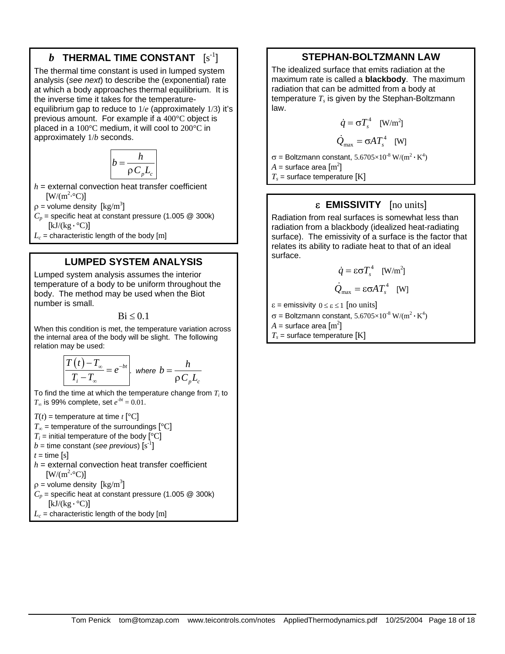# $\bm{b}$   $\,$  THERMAL TIME CONSTANT  $\,$   $\, [s^{\text{-}1}]$

The thermal time constant is used in lumped system analysis (*see next*) to describe the (exponential) rate at which a body approaches thermal equilibrium. It is the inverse time it takes for the temperatureequilibrium gap to reduce to 1/*e* (approximately 1/3) it's previous amount. For example if a 400°C object is placed in a 100°C medium, it will cool to 200°C in approximately 1/*b* seconds.

$$
b = \frac{h}{\rho C_p L_c}
$$

 $h =$  external convection heat transfer coefficient  $[W/(m^2 \cdot ^{\circ}C)]$ 

 $\rho$  = volume density  $\left[\text{kg/m}^3\right]$ 

 $C_p$  = specific heat at constant pressure (1.005  $\textcircled{2}$  300k)  $[kJ/(kg \cdot {}^{\circ}C)]$ 

 $L_c$  = characteristic length of the body [m]

### **LUMPED SYSTEM ANALYSIS**

Lumped system analysis assumes the interior temperature of a body to be uniform throughout the body. The method may be used when the Biot number is small.

 $Bi < 0.1$ 

When this condition is met, the temperature variation across the internal area of the body will be slight. The following relation may be used:

$$
\frac{T(t) - T_{\infty}}{T_i - T_{\infty}} = e^{-bt} \quad \text{where } b = \frac{h}{\rho C_p L_c}
$$

To find the time at which the temperature change from  $T_i$  to *T*∞ is 99% complete, set  $e^{-bt} = 0.01$ .

 $T(t)$  = temperature at time  $t$  [°C]  $T_{\infty}$  = temperature of the surroundings  $[^{\circ}C]$  $T_i$  = initial temperature of the body  $[°C]$  $b$  = time constant (see previous)  $[s^{-1}]$  $t =$  time [s]  $h =$  external convection heat transfer coefficient  $[W/(m^2 \cdot ^{\circ}C)]$  $\rho$  = volume density  $\left[\text{kg/m}^3\right]$  $C_p$  = specific heat at constant pressure (1.005  $\textcircled{2}$  300k)  $[kJ/(kg \cdot ^{\circ}C)]$  $L_c$  = characteristic length of the body [m]

#### **STEPHAN-BOLTZMANN LAW**

The idealized surface that emits radiation at the maximum rate is called a **blackbody**. The maximum radiation that can be admitted from a body at temperature  $T_s$  is given by the Stephan-Boltzmann law.

$$
\dot{q} = \sigma T_s^4 \quad \text{[W/m}^2\text{]}
$$

$$
\dot{Q}_{\text{max}} = \sigma A T_s^4 \quad \text{[W]}
$$

σ = Boltzmann constant, 5.6705×10<sup>-8</sup> W/(m<sup>2</sup> · K<sup>4</sup>)

 $A =$  surface area  $\rm [m^2]$ 

 $T_s$  = surface temperature [K]

### ε **EMISSIVITY** [no units]

Radiation from real surfaces is somewhat less than radiation from a blackbody (idealized heat-radiating surface). The emissivity of a surface is the factor that relates its ability to radiate heat to that of an ideal surface.

$$
\dot{q} = \varepsilon \sigma T_s^4 \quad \text{[W/m}^2\text{]}
$$

$$
\dot{Q}_{\text{max}} = \varepsilon \sigma A T_s^4 \quad [W]
$$

 $\epsilon$  = emissivity  $0 \leq \epsilon \leq 1$  [no units]

$$
\sigma = \text{Boltzmann constant},\, 5.6705 \times 10^{-8} \; W/(m^2 \cdot K^4)
$$

 $A =$  surface area  $\mathrm{[m^2]}$ 

 $T_s$  = surface temperature [K]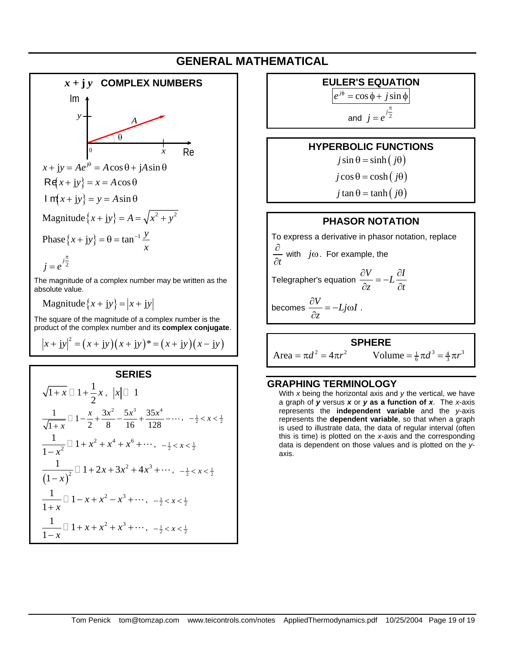# **GENERAL MATHEMATICAL**



product of the complex number and its **complex conjugate**.  $(x + jy)^2 = (x + jy)(x + jy)^* = (x + jy)(x - jy)$ 

#### **SERIES**

$$
\sqrt{1+x} \Box 1 + \frac{1}{2}x, \ |x| \Box 1
$$
  

$$
\frac{1}{\sqrt{1+x}} \Box 1 - \frac{x}{2} + \frac{3x^2}{8} - \frac{5x^3}{16} + \frac{35x^4}{128} - \cdots, \ -\frac{1}{2} < x < \frac{1}{2}
$$
  

$$
\frac{1}{1-x^2} \Box 1 + x^2 + x^4 + x^6 + \cdots, \ -\frac{1}{2} < x < \frac{1}{2}
$$
  

$$
\frac{1}{(1-x)^2} \Box 1 + 2x + 3x^2 + 4x^3 + \cdots, \ -\frac{1}{2} < x < \frac{1}{2}
$$
  

$$
\frac{1}{1+x} \Box 1 - x + x^2 - x^3 + \cdots, \ -\frac{1}{2} < x < \frac{1}{2}
$$
  

$$
\frac{1}{1-x} \Box 1 + x + x^2 + x^3 + \cdots, \ -\frac{1}{2} < x < \frac{1}{2}
$$

**EULER'S EQUATION** 

 $e^{j\phi} = \cos \phi + j \sin \phi$ 

π

and  $j = e^{j\frac{n}{2}}$ =

#### **HYPERBOLIC FUNCTIONS**

 $j \sin \theta = \sinh ( j \theta )$ 

 $j \cos \theta = \cosh ( j \theta )$ 

 $j \tan \theta = \tanh ( j \theta)$ 

#### **PHASOR NOTATION**

To express a derivative in phasor notation, replace *t* ∂ ∂ with *j*ω. For example, the Telegrapher's equation  $\frac{\partial V}{\partial t} = -L \frac{\partial V}{\partial t}$  $\frac{\partial V}{\partial z} = -L \frac{\partial I}{\partial t}$ becomes  $\frac{\partial V}{\partial t} = -Lj\omega I$ *z*  $\frac{\partial V}{\partial t} = -Lj\omega$  $\frac{\partial}{\partial z} = -Lj\omega I$ .

**SPHERE**   $Area = \pi d^2 = 4\pi r^2$  Volume  $= \frac{1}{6}\pi d^3 = \frac{4}{3}\pi r^3$ 

#### **GRAPHING TERMINOLOGY**

 With *x* being the horizontal axis and *y* the vertical, we have a graph of *y* versus *x* or *y* **as a function of** *x*. The *x*-axis represents the **independent variable** and the *y*-axis represents the **dependent variable**, so that when a graph is used to illustrate data, the data of regular interval (often this is time) is plotted on the *x*-axis and the corresponding data is dependent on those values and is plotted on the *y*axis.